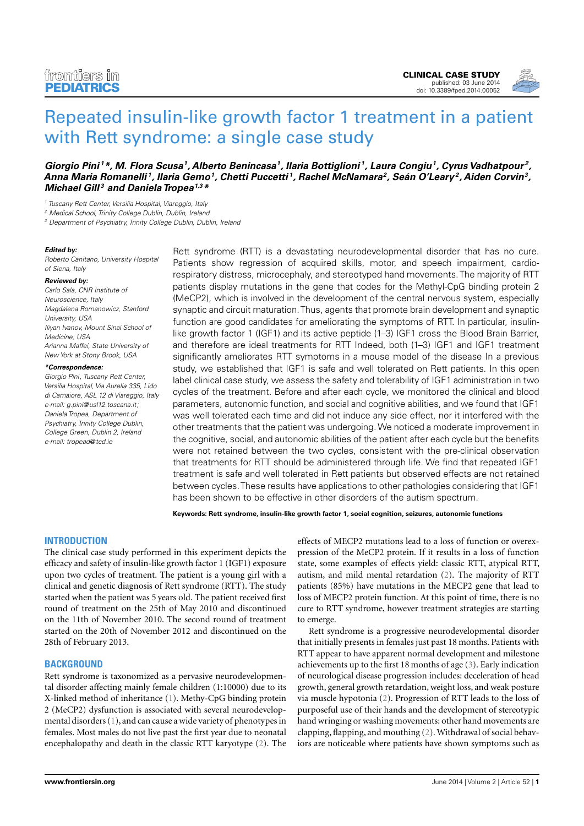# [Repeated insulin-like growth factor 1 treatment in a patient](http://www.frontiersin.org/Journal/10.3389/fped.2014.00052/abstract) [with Rett syndrome: a single case study](http://www.frontiersin.org/Journal/10.3389/fped.2014.00052/abstract)

# [Giorgio Pini](http://www.frontiersin.org/people/u/44626)1\*, M. Flora Scusa1, Alberto Benincasa1, [Ilaria Bottiglioni](http://www.frontiersin.org/people/u/43640)1, [Laura Congiu](http://www.frontiersin.org/people/u/162708)1, [Cyrus Vadhatpour](http://www.frontiersin.org/people/u/162627)2, **[Anna Maria Romanelli](http://www.frontiersin.org/people/u/159243) <sup>1</sup> , Ilaria Gemo<sup>1</sup> , Chetti Puccetti <sup>1</sup> , [Rachel McNamara](http://www.frontiersin.org/people/u/153551)<sup>2</sup> , [Seán O'Leary](http://www.frontiersin.org/people/u/154774) <sup>2</sup> , Aiden Corvin<sup>3</sup> , Michael Gill <sup>3</sup> and [Daniela Tropea](http://www.frontiersin.org/people/u/29772)1,3\***

<sup>1</sup> Tuscany Rett Center, Versilia Hospital, Viareggio, Italy

<sup>2</sup> Medical School, Trinity College Dublin, Dublin, Ireland

<sup>3</sup> Department of Psychiatry, Trinity College Dublin, Dublin, Ireland

#### **Edited by:**

Roberto Canitano, University Hospital of Siena, Italy

#### **Reviewed by:**

Carlo Sala, CNR Institute of Neuroscience, Italy Magdalena Romanowicz, Stanford University, USA Iliyan Ivanov, Mount Sinai School of Medicine, USA Arianna Maffei, State University of New York at Stony Brook, USA

#### **\*Correspondence:**

Giorgio Pini, Tuscany Rett Center, Versilia Hospital, Via Aurelia 335, Lido di Camaiore, ASL 12 di Viareggio, Italy e-mail: [g.pini@usl12.toscana.it;](mailto:g.pini@usl12.toscana.it) Daniela Tropea, Department of Psychiatry, Trinity College Dublin, College Green, Dublin 2, Ireland e-mail: [tropead@tcd.ie](mailto:tropead@tcd.ie)

Rett syndrome (RTT) is a devastating neurodevelopmental disorder that has no cure. Patients show regression of acquired skills, motor, and speech impairment, cardiorespiratory distress, microcephaly, and stereotyped hand movements.The majority of RTT patients display mutations in the gene that codes for the Methyl-CpG binding protein 2 (MeCP2), which is involved in the development of the central nervous system, especially synaptic and circuit maturation.Thus, agents that promote brain development and synaptic function are good candidates for ameliorating the symptoms of RTT. In particular, insulinlike growth factor 1 (IGF1) and its active peptide (1–3) IGF1 cross the Blood Brain Barrier, and therefore are ideal treatments for RTT Indeed, both (1–3) IGF1 and IGF1 treatment significantly ameliorates RTT symptoms in a mouse model of the disease In a previous study, we established that IGF1 is safe and well tolerated on Rett patients. In this open label clinical case study, we assess the safety and tolerability of IGF1 administration in two cycles of the treatment. Before and after each cycle, we monitored the clinical and blood parameters, autonomic function, and social and cognitive abilities, and we found that IGF1 was well tolerated each time and did not induce any side effect, nor it interfered with the other treatments that the patient was undergoing. We noticed a moderate improvement in the cognitive, social, and autonomic abilities of the patient after each cycle but the benefits were not retained between the two cycles, consistent with the pre-clinical observation that treatments for RTT should be administered through life. We find that repeated IGF1 treatment is safe and well tolerated in Rett patients but observed effects are not retained between cycles.These results have applications to other pathologies considering that IGF1 has been shown to be effective in other disorders of the autism spectrum.

**Keywords: Rett syndrome, insulin-like growth factor 1, social cognition, seizures, autonomic functions**

#### **INTRODUCTION**

The clinical case study performed in this experiment depicts the efficacy and safety of insulin-like growth factor 1 (IGF1) exposure upon two cycles of treatment. The patient is a young girl with a clinical and genetic diagnosis of Rett syndrome (RTT). The study started when the patient was 5 years old. The patient received first round of treatment on the 25th of May 2010 and discontinued on the 11th of November 2010. The second round of treatment started on the 20th of November 2012 and discontinued on the 28th of February 2013.

#### **BACKGROUND**

Rett syndrome is taxonomized as a pervasive neurodevelopmental disorder affecting mainly female children (1:10000) due to its X-linked method of inheritance [\(1\)](#page-9-0). Methy-CpG binding protein 2 (MeCP2) dysfunction is associated with several neurodevelopmental disorders [\(1\)](#page-9-0), and can cause a wide variety of phenotypes in females. Most males do not live past the first year due to neonatal encephalopathy and death in the classic RTT karyotype [\(2\)](#page-9-1). The

effects of MECP2 mutations lead to a loss of function or overexpression of the MeCP2 protein. If it results in a loss of function state, some examples of effects yield: classic RTT, atypical RTT, autism, and mild mental retardation [\(2\)](#page-9-1). The majority of RTT patients (85%) have mutations in the MECP2 gene that lead to loss of MECP2 protein function. At this point of time, there is no cure to RTT syndrome, however treatment strategies are starting to emerge.

Rett syndrome is a progressive neurodevelopmental disorder that initially presents in females just past 18 months. Patients with RTT appear to have apparent normal development and milestone achievements up to the first 18 months of age [\(3\)](#page-9-2). Early indication of neurological disease progression includes: deceleration of head growth, general growth retardation, weight loss, and weak posture via muscle hypotonia [\(2\)](#page-9-1). Progression of RTT leads to the loss of purposeful use of their hands and the development of stereotypic hand wringing or washing movements: other hand movements are clapping, flapping, and mouthing [\(2\)](#page-9-1). Withdrawal of social behaviors are noticeable where patients have shown symptoms such as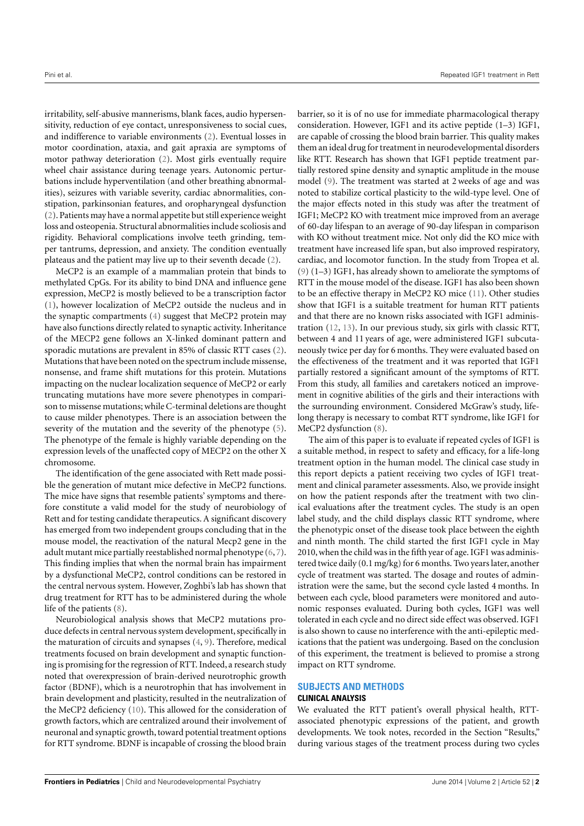irritability, self-abusive mannerisms, blank faces, audio hypersensitivity, reduction of eye contact, unresponsiveness to social cues, and indifference to variable environments [\(2\)](#page-9-1). Eventual losses in motor coordination, ataxia, and gait apraxia are symptoms of motor pathway deterioration [\(2\)](#page-9-1). Most girls eventually require wheel chair assistance during teenage years. Autonomic perturbations include hyperventilation (and other breathing abnormalities), seizures with variable severity, cardiac abnormalities, constipation, parkinsonian features, and oropharyngeal dysfunction [\(2\)](#page-9-1). Patients may have a normal appetite but still experience weight loss and osteopenia. Structural abnormalities include scoliosis and rigidity. Behavioral complications involve teeth grinding, temper tantrums, depression, and anxiety. The condition eventually plateaus and the patient may live up to their seventh decade [\(2\)](#page-9-1).

MeCP2 is an example of a mammalian protein that binds to methylated CpGs. For its ability to bind DNA and influence gene expression, MeCP2 is mostly believed to be a transcription factor [\(1\)](#page-9-0), however localization of MeCP2 outside the nucleus and in the synaptic compartments [\(4\)](#page-9-3) suggest that MeCP2 protein may have also functions directly related to synaptic activity. Inheritance of the MECP2 gene follows an X-linked dominant pattern and sporadic mutations are prevalent in 85% of classic RTT cases [\(2\)](#page-9-1). Mutations that have been noted on the spectrum include missense, nonsense, and frame shift mutations for this protein. Mutations impacting on the nuclear localization sequence of MeCP2 or early truncating mutations have more severe phenotypes in comparison to missense mutations; while C-terminal deletions are thought to cause milder phenotypes. There is an association between the severity of the mutation and the severity of the phenotype [\(5\)](#page-9-4). The phenotype of the female is highly variable depending on the expression levels of the unaffected copy of MECP2 on the other X chromosome.

The identification of the gene associated with Rett made possible the generation of mutant mice defective in MeCP2 functions. The mice have signs that resemble patients' symptoms and therefore constitute a valid model for the study of neurobiology of Rett and for testing candidate therapeutics. A significant discovery has emerged from two independent groups concluding that in the mouse model, the reactivation of the natural Mecp2 gene in the adult mutant mice partially reestablished normal phenotype [\(6,](#page-9-5) [7\)](#page-9-6). This finding implies that when the normal brain has impairment by a dysfunctional MeCP2, control conditions can be restored in the central nervous system. However, Zoghbi's lab has shown that drug treatment for RTT has to be administered during the whole life of the patients [\(8\)](#page-9-7).

Neurobiological analysis shows that MeCP2 mutations produce defects in central nervous system development, specifically in the maturation of circuits and synapses [\(4,](#page-9-3) [9\)](#page-9-8). Therefore, medical treatments focused on brain development and synaptic functioning is promising for the regression of RTT. Indeed, a research study noted that overexpression of brain-derived neurotrophic growth factor (BDNF), which is a neurotrophin that has involvement in brain development and plasticity, resulted in the neutralization of the MeCP2 deficiency [\(10\)](#page-9-9). This allowed for the consideration of growth factors, which are centralized around their involvement of neuronal and synaptic growth, toward potential treatment options for RTT syndrome. BDNF is incapable of crossing the blood brain

barrier, so it is of no use for immediate pharmacological therapy consideration. However, IGF1 and its active peptide (1–3) IGF1, are capable of crossing the blood brain barrier. This quality makes them an ideal drug for treatment in neurodevelopmental disorders like RTT. Research has shown that IGF1 peptide treatment partially restored spine density and synaptic amplitude in the mouse model [\(9\)](#page-9-8). The treatment was started at 2 weeks of age and was noted to stabilize cortical plasticity to the wild-type level. One of the major effects noted in this study was after the treatment of IGF1; MeCP2 KO with treatment mice improved from an average of 60-day lifespan to an average of 90-day lifespan in comparison with KO without treatment mice. Not only did the KO mice with treatment have increased life span, but also improved respiratory, cardiac, and locomotor function. In the study from Tropea et al. [\(9\)](#page-9-8) (1–3) IGF1, has already shown to ameliorate the symptoms of RTT in the mouse model of the disease. IGF1 has also been shown to be an effective therapy in MeCP2 KO mice [\(11\)](#page-9-10). Other studies show that IGF1 is a suitable treatment for human RTT patients and that there are no known risks associated with IGF1 administration [\(12,](#page-9-11) [13\)](#page-9-12). In our previous study, six girls with classic RTT, between 4 and 11 years of age, were administered IGF1 subcutaneously twice per day for 6 months. They were evaluated based on the effectiveness of the treatment and it was reported that IGF1 partially restored a significant amount of the symptoms of RTT. From this study, all families and caretakers noticed an improvement in cognitive abilities of the girls and their interactions with the surrounding environment. Considered McGraw's study, lifelong therapy is necessary to combat RTT syndrome, like IGF1 for MeCP2 dysfunction [\(8\)](#page-9-7).

The aim of this paper is to evaluate if repeated cycles of IGF1 is a suitable method, in respect to safety and efficacy, for a life-long treatment option in the human model. The clinical case study in this report depicts a patient receiving two cycles of IGF1 treatment and clinical parameter assessments. Also, we provide insight on how the patient responds after the treatment with two clinical evaluations after the treatment cycles. The study is an open label study, and the child displays classic RTT syndrome, where the phenotypic onset of the disease took place between the eighth and ninth month. The child started the first IGF1 cycle in May 2010, when the child was in the fifth year of age. IGF1 was administered twice daily (0.1 mg/kg) for 6 months. Two years later, another cycle of treatment was started. The dosage and routes of administration were the same, but the second cycle lasted 4 months. In between each cycle, blood parameters were monitored and autonomic responses evaluated. During both cycles, IGF1 was well tolerated in each cycle and no direct side effect was observed. IGF1 is also shown to cause no interference with the anti-epileptic medications that the patient was undergoing. Based on the conclusion of this experiment, the treatment is believed to promise a strong impact on RTT syndrome.

#### **SUBJECTS AND METHODS**

#### **CLINICAL ANALYSIS**

We evaluated the RTT patient's overall physical health, RTTassociated phenotypic expressions of the patient, and growth developments. We took notes, recorded in the Section ["Results,](#page-2-0)" during various stages of the treatment process during two cycles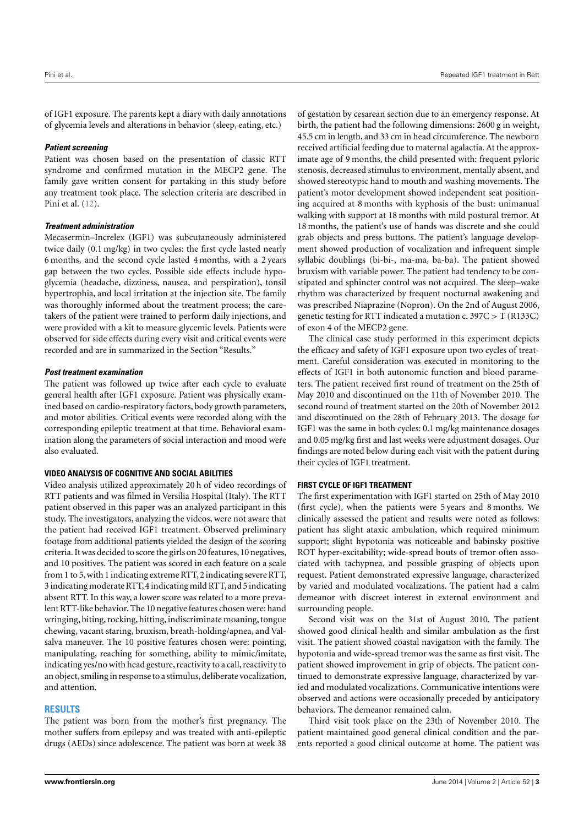of IGF1 exposure. The parents kept a diary with daily annotations of glycemia levels and alterations in behavior (sleep, eating, etc.)

# **Patient screening**

Patient was chosen based on the presentation of classic RTT syndrome and confirmed mutation in the MECP2 gene. The family gave written consent for partaking in this study before any treatment took place. The selection criteria are described in Pini et al. [\(12\)](#page-9-11).

# **Treatment administration**

Mecasermin–Increlex (IGF1) was subcutaneously administered twice daily (0.1 mg/kg) in two cycles: the first cycle lasted nearly 6 months, and the second cycle lasted 4 months, with a 2 years gap between the two cycles. Possible side effects include hypoglycemia (headache, dizziness, nausea, and perspiration), tonsil hypertrophia, and local irritation at the injection site. The family was thoroughly informed about the treatment process; the caretakers of the patient were trained to perform daily injections, and were provided with a kit to measure glycemic levels. Patients were observed for side effects during every visit and critical events were recorded and are in summarized in the Section ["Results.](#page-2-0)"

# **Post treatment examination**

The patient was followed up twice after each cycle to evaluate general health after IGF1 exposure. Patient was physically examined based on cardio-respiratory factors, body growth parameters, and motor abilities. Critical events were recorded along with the corresponding epileptic treatment at that time. Behavioral examination along the parameters of social interaction and mood were also evaluated.

# **VIDEO ANALYSIS OF COGNITIVE AND SOCIAL ABILITIES**

Video analysis utilized approximately 20 h of video recordings of RTT patients and was filmed in Versilia Hospital (Italy). The RTT patient observed in this paper was an analyzed participant in this study. The investigators, analyzing the videos, were not aware that the patient had received IGF1 treatment. Observed preliminary footage from additional patients yielded the design of the scoring criteria. It was decided to score the girls on 20 features,10 negatives, and 10 positives. The patient was scored in each feature on a scale from 1 to 5, with 1 indicating extreme RTT, 2 indicating severe RTT, 3 indicating moderate RTT, 4 indicating mild RTT, and 5 indicating absent RTT. In this way, a lower score was related to a more prevalent RTT-like behavior. The 10 negative features chosen were: hand wringing, biting, rocking, hitting, indiscriminate moaning, tongue chewing, vacant staring, bruxism, breath-holding/apnea, and Valsalva maneuver. The 10 positive features chosen were: pointing, manipulating, reaching for something, ability to mimic/imitate, indicating yes/no with head gesture, reactivity to a call, reactivity to an object, smiling in response to a stimulus, deliberate vocalization, and attention.

# <span id="page-2-0"></span>**RESULTS**

The patient was born from the mother's first pregnancy. The mother suffers from epilepsy and was treated with anti-epileptic drugs (AEDs) since adolescence. The patient was born at week 38

of gestation by cesarean section due to an emergency response. At birth, the patient had the following dimensions: 2600 g in weight, 45.5 cm in length, and 33 cm in head circumference. The newborn received artificial feeding due to maternal agalactia. At the approximate age of 9 months, the child presented with: frequent pyloric stenosis, decreased stimulus to environment, mentally absent, and showed stereotypic hand to mouth and washing movements. The patient's motor development showed independent seat positioning acquired at 8 months with kyphosis of the bust: unimanual walking with support at 18 months with mild postural tremor. At 18 months, the patient's use of hands was discrete and she could grab objects and press buttons. The patient's language development showed production of vocalization and infrequent simple syllabic doublings (bi-bi-, ma-ma, ba-ba). The patient showed bruxism with variable power. The patient had tendency to be constipated and sphincter control was not acquired. The sleep–wake rhythm was characterized by frequent nocturnal awakening and was prescribed Niaprazine (Nopron). On the 2nd of August 2006, genetic testing for RTT indicated a mutation c.  $397C > T (R133C)$ of exon 4 of the MECP2 gene.

The clinical case study performed in this experiment depicts the efficacy and safety of IGF1 exposure upon two cycles of treatment. Careful consideration was executed in monitoring to the effects of IGF1 in both autonomic function and blood parameters. The patient received first round of treatment on the 25th of May 2010 and discontinued on the 11th of November 2010. The second round of treatment started on the 20th of November 2012 and discontinued on the 28th of February 2013. The dosage for IGF1 was the same in both cycles: 0.1 mg/kg maintenance dosages and 0.05 mg/kg first and last weeks were adjustment dosages. Our findings are noted below during each visit with the patient during their cycles of IGF1 treatment.

# **FIRST CYCLE OF IGF1 TREATMENT**

The first experimentation with IGF1 started on 25th of May 2010 (first cycle), when the patients were 5 years and 8 months. We clinically assessed the patient and results were noted as follows: patient has slight ataxic ambulation, which required minimum support; slight hypotonia was noticeable and babinsky positive ROT hyper-excitability; wide-spread bouts of tremor often associated with tachypnea, and possible grasping of objects upon request. Patient demonstrated expressive language, characterized by varied and modulated vocalizations. The patient had a calm demeanor with discreet interest in external environment and surrounding people.

Second visit was on the 31st of August 2010. The patient showed good clinical health and similar ambulation as the first visit. The patient showed coastal navigation with the family. The hypotonia and wide-spread tremor was the same as first visit. The patient showed improvement in grip of objects. The patient continued to demonstrate expressive language, characterized by varied and modulated vocalizations. Communicative intentions were observed and actions were occasionally preceded by anticipatory behaviors. The demeanor remained calm.

Third visit took place on the 23th of November 2010. The patient maintained good general clinical condition and the parents reported a good clinical outcome at home. The patient was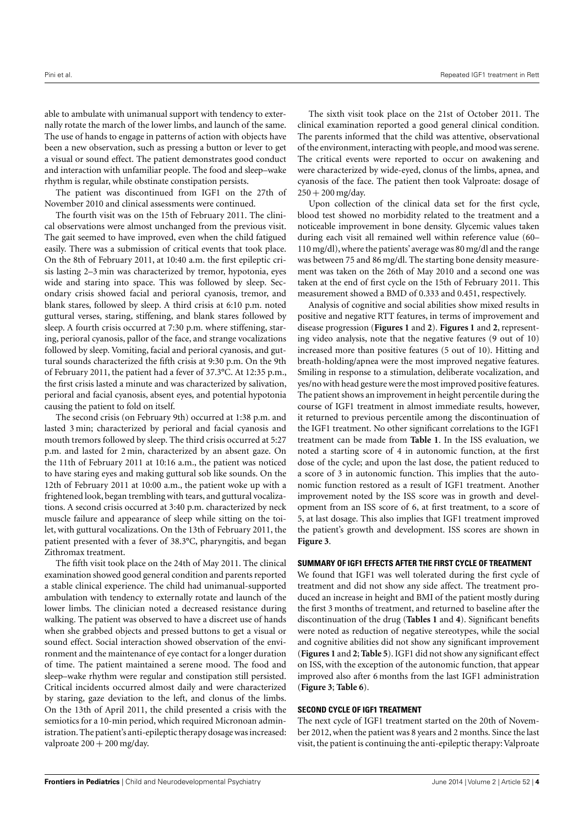able to ambulate with unimanual support with tendency to externally rotate the march of the lower limbs, and launch of the same. The use of hands to engage in patterns of action with objects have been a new observation, such as pressing a button or lever to get a visual or sound effect. The patient demonstrates good conduct and interaction with unfamiliar people. The food and sleep–wake rhythm is regular, while obstinate constipation persists.

The patient was discontinued from IGF1 on the 27th of November 2010 and clinical assessments were continued.

The fourth visit was on the 15th of February 2011. The clinical observations were almost unchanged from the previous visit. The gait seemed to have improved, even when the child fatigued easily. There was a submission of critical events that took place. On the 8th of February 2011, at 10:40 a.m. the first epileptic crisis lasting 2–3 min was characterized by tremor, hypotonia, eyes wide and staring into space. This was followed by sleep. Secondary crisis showed facial and perioral cyanosis, tremor, and blank stares, followed by sleep. A third crisis at 6:10 p.m. noted guttural verses, staring, stiffening, and blank stares followed by sleep. A fourth crisis occurred at 7:30 p.m. where stiffening, staring, perioral cyanosis, pallor of the face, and strange vocalizations followed by sleep. Vomiting, facial and perioral cyanosis, and guttural sounds characterized the fifth crisis at 9:30 p.m. On the 9th of February 2011, the patient had a fever of 37.3°C. At 12:35 p.m., the first crisis lasted a minute and was characterized by salivation, perioral and facial cyanosis, absent eyes, and potential hypotonia causing the patient to fold on itself.

The second crisis (on February 9th) occurred at 1:38 p.m. and lasted 3 min; characterized by perioral and facial cyanosis and mouth tremors followed by sleep. The third crisis occurred at 5:27 p.m. and lasted for 2 min, characterized by an absent gaze. On the 11th of February 2011 at 10:16 a.m., the patient was noticed to have staring eyes and making guttural sob like sounds. On the 12th of February 2011 at 10:00 a.m., the patient woke up with a frightened look, began trembling with tears, and guttural vocalizations. A second crisis occurred at 3:40 p.m. characterized by neck muscle failure and appearance of sleep while sitting on the toilet, with guttural vocalizations. On the 13th of February 2011, the patient presented with a fever of 38.3°C, pharyngitis, and began Zithromax treatment.

The fifth visit took place on the 24th of May 2011. The clinical examination showed good general condition and parents reported a stable clinical experience. The child had unimanual-supported ambulation with tendency to externally rotate and launch of the lower limbs. The clinician noted a decreased resistance during walking. The patient was observed to have a discreet use of hands when she grabbed objects and pressed buttons to get a visual or sound effect. Social interaction showed observation of the environment and the maintenance of eye contact for a longer duration of time. The patient maintained a serene mood. The food and sleep–wake rhythm were regular and constipation still persisted. Critical incidents occurred almost daily and were characterized by staring, gaze deviation to the left, and clonus of the limbs. On the 13th of April 2011, the child presented a crisis with the semiotics for a 10-min period, which required Micronoan administration. The patient's anti-epileptic therapy dosage was increased: valproate  $200 + 200$  mg/day.

The sixth visit took place on the 21st of October 2011. The clinical examination reported a good general clinical condition. The parents informed that the child was attentive, observational of the environment, interacting with people, and mood was serene. The critical events were reported to occur on awakening and were characterized by wide-eyed, clonus of the limbs, apnea, and cyanosis of the face. The patient then took Valproate: dosage of  $250 + 200$  mg/day.

Upon collection of the clinical data set for the first cycle, blood test showed no morbidity related to the treatment and a noticeable improvement in bone density. Glycemic values taken during each visit all remained well within reference value (60– 110 mg/dl), where the patients' average was 80 mg/dl and the range was between 75 and 86 mg/dl. The starting bone density measurement was taken on the 26th of May 2010 and a second one was taken at the end of first cycle on the 15th of February 2011. This measurement showed a BMD of 0.333 and 0.451, respectively.

Analysis of cognitive and social abilities show mixed results in positive and negative RTT features, in terms of improvement and disease progression (**[Figures 1](#page-4-0)** and **[2](#page-4-1)**). **[Figures 1](#page-4-0)** and **[2](#page-4-1)**, representing video analysis, note that the negative features (9 out of 10) increased more than positive features (5 out of 10). Hitting and breath-holding/apnea were the most improved negative features. Smiling in response to a stimulation, deliberate vocalization, and yes/no with head gesture were the most improved positive features. The patient shows an improvement in height percentile during the course of IGF1 treatment in almost immediate results, however, it returned to previous percentile among the discontinuation of the IGF1 treatment. No other significant correlations to the IGF1 treatment can be made from **[Table 1](#page-5-0)**. In the ISS evaluation, we noted a starting score of 4 in autonomic function, at the first dose of the cycle; and upon the last dose, the patient reduced to a score of 3 in autonomic function. This implies that the autonomic function restored as a result of IGF1 treatment. Another improvement noted by the ISS score was in growth and development from an ISS score of 6, at first treatment, to a score of 5, at last dosage. This also implies that IGF1 treatment improved the patient's growth and development. ISS scores are shown in **[Figure 3](#page-5-1)**.

#### **SUMMARY OF IGF1 EFFECTS AFTER THE FIRST CYCLE OF TREATMENT**

We found that IGF1 was well tolerated during the first cycle of treatment and did not show any side affect. The treatment produced an increase in height and BMI of the patient mostly during the first 3 months of treatment, and returned to baseline after the discontinuation of the drug (**[Tables 1](#page-5-0)** and **[4](#page-7-0)**). Significant benefits were noted as reduction of negative stereotypes, while the social and cognitive abilities did not show any significant improvement (**[Figures 1](#page-4-0)** and **[2](#page-4-1)**; **[Table 5](#page-8-0)**). IGF1 did not show any significant effect on ISS, with the exception of the autonomic function, that appear improved also after 6 months from the last IGF1 administration (**[Figure 3](#page-5-1)**; **[Table 6](#page-8-1)**).

#### **SECOND CYCLE OF IGF1 TREATMENT**

The next cycle of IGF1 treatment started on the 20th of November 2012, when the patient was 8 years and 2 months. Since the last visit, the patient is continuing the anti-epileptic therapy: Valproate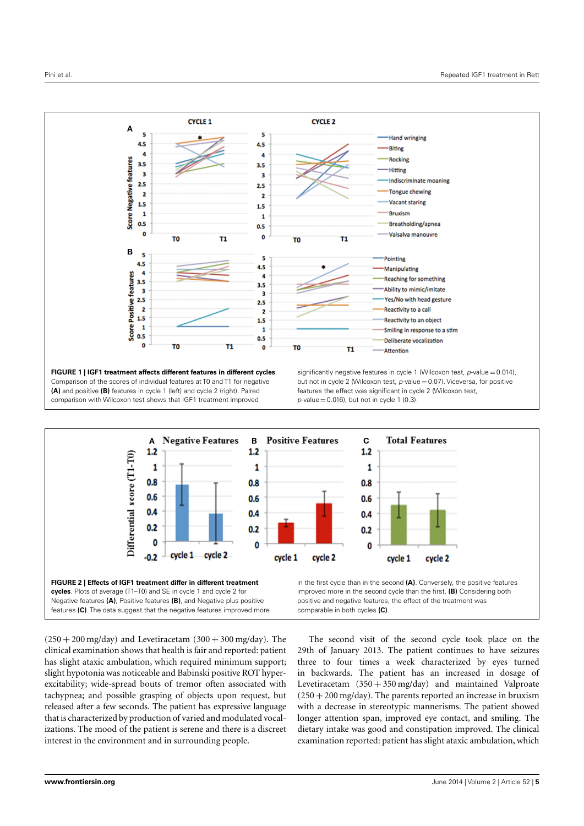

<span id="page-4-0"></span>**FIGURE 1 | IGF1 treatment affects different features in different cycles**. Comparison of the scores of individual features at T0 and T1 for negative **(A)** and positive **(B)** features in cycle 1 (left) and cycle 2 (right). Paired comparison with Wilcoxon test shows that IGF1 treatment improved

significantly negative features in cycle 1 (Wilcoxon test,  $p$ -value = 0.014), but not in cycle 2 (Wilcoxon test,  $p$ -value = 0.07). Viceversa, for positive features the effect was significant in cycle 2 (Wilcoxon test,  $p$ -value = 0.016), but not in cycle 1 (0.3).



<span id="page-4-1"></span> $(250 + 200 \text{ mg/day})$  and Levetiracetam  $(300 + 300 \text{ mg/day})$ . The clinical examination shows that health is fair and reported: patient has slight ataxic ambulation, which required minimum support; slight hypotonia was noticeable and Babinski positive ROT hyperexcitability; wide-spread bouts of tremor often associated with tachypnea; and possible grasping of objects upon request, but released after a few seconds. The patient has expressive language that is characterized by production of varied and modulated vocalizations. The mood of the patient is serene and there is a discreet interest in the environment and in surrounding people.

The second visit of the second cycle took place on the 29th of January 2013. The patient continues to have seizures three to four times a week characterized by eyes turned in backwards. The patient has an increased in dosage of Levetiracetam  $(350 + 350 \text{ mg/day})$  and maintained Valproate  $(250 + 200 \text{ mg/day})$ . The parents reported an increase in bruxism with a decrease in stereotypic mannerisms. The patient showed longer attention span, improved eye contact, and smiling. The dietary intake was good and constipation improved. The clinical examination reported: patient has slight ataxic ambulation, which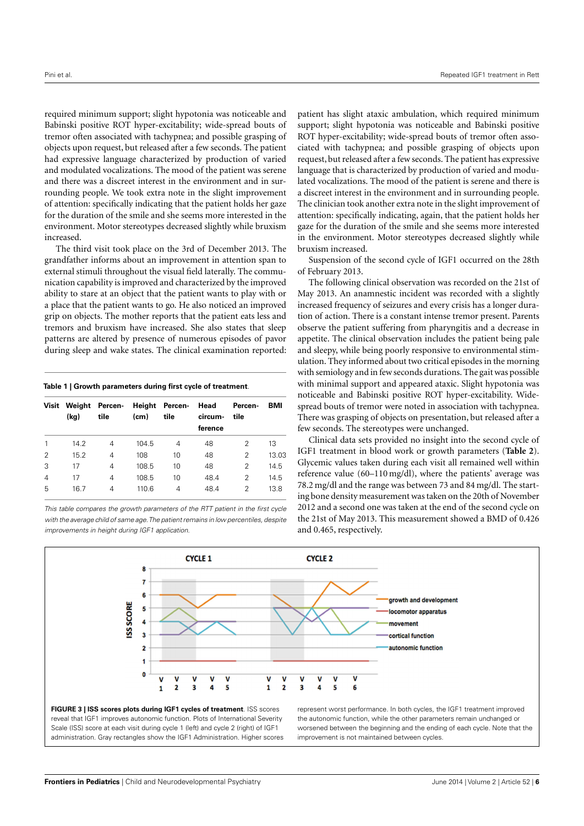required minimum support; slight hypotonia was noticeable and Babinski positive ROT hyper-excitability; wide-spread bouts of tremor often associated with tachypnea; and possible grasping of objects upon request, but released after a few seconds. The patient had expressive language characterized by production of varied and modulated vocalizations. The mood of the patient was serene and there was a discreet interest in the environment and in surrounding people. We took extra note in the slight improvement of attention: specifically indicating that the patient holds her gaze for the duration of the smile and she seems more interested in the environment. Motor stereotypes decreased slightly while bruxism increased.

The third visit took place on the 3rd of December 2013. The grandfather informs about an improvement in attention span to external stimuli throughout the visual field laterally. The communication capability is improved and characterized by the improved ability to stare at an object that the patient wants to play with or a place that the patient wants to go. He also noticed an improved grip on objects. The mother reports that the patient eats less and tremors and bruxism have increased. She also states that sleep patterns are altered by presence of numerous episodes of pavor during sleep and wake states. The clinical examination reported:

<span id="page-5-0"></span>**Table 1 | Growth parameters during first cycle of treatment**.

| Visit | (kg) | Weight Percen-<br>tile | (c <sub>m</sub> ) | Height Percen-<br>tile | Head<br>circum-<br>ference | Percen-<br>tile | BMI   |
|-------|------|------------------------|-------------------|------------------------|----------------------------|-----------------|-------|
| 1     | 14.2 | 4                      | 104.5             | 4                      | 48                         | 2               | 13    |
| 2     | 15.2 | 4                      | 108               | 10                     | 48                         | 2               | 13.03 |
| 3     | 17   | 4                      | 108.5             | 10                     | 48                         | 2               | 14.5  |
| 4     | 17   | 4                      | 108.5             | 10                     | 48.4                       | 2               | 14.5  |
| 5     | 16.7 | 4                      | 110.6             | 4                      | 48.4                       | 2               | 13.8  |

This table compares the growth parameters of the RTT patient in the first cycle with the average child of same age.The patient remains in low percentiles, despite improvements in height during IGF1 application.

patient has slight ataxic ambulation, which required minimum support; slight hypotonia was noticeable and Babinski positive ROT hyper-excitability; wide-spread bouts of tremor often associated with tachypnea; and possible grasping of objects upon request, but released after a few seconds. The patient has expressive language that is characterized by production of varied and modulated vocalizations. The mood of the patient is serene and there is a discreet interest in the environment and in surrounding people. The clinician took another extra note in the slight improvement of attention: specifically indicating, again, that the patient holds her gaze for the duration of the smile and she seems more interested in the environment. Motor stereotypes decreased slightly while bruxism increased.

Suspension of the second cycle of IGF1 occurred on the 28th of February 2013.

The following clinical observation was recorded on the 21st of May 2013. An anamnestic incident was recorded with a slightly increased frequency of seizures and every crisis has a longer duration of action. There is a constant intense tremor present. Parents observe the patient suffering from pharyngitis and a decrease in appetite. The clinical observation includes the patient being pale and sleepy, while being poorly responsive to environmental stimulation. They informed about two critical episodes in the morning with semiology and in few seconds durations. The gait was possible with minimal support and appeared ataxic. Slight hypotonia was noticeable and Babinski positive ROT hyper-excitability. Widespread bouts of tremor were noted in association with tachypnea. There was grasping of objects on presentation, but released after a few seconds. The stereotypes were unchanged.

Clinical data sets provided no insight into the second cycle of IGF1 treatment in blood work or growth parameters (**[Table 2](#page-6-0)**). Glycemic values taken during each visit all remained well within reference value (60–110 mg/dl), where the patients' average was 78.2 mg/dl and the range was between 73 and 84 mg/dl. The starting bone density measurement was taken on the 20th of November 2012 and a second one was taken at the end of the second cycle on the 21st of May 2013. This measurement showed a BMD of 0.426 and 0.465, respectively.

<span id="page-5-1"></span>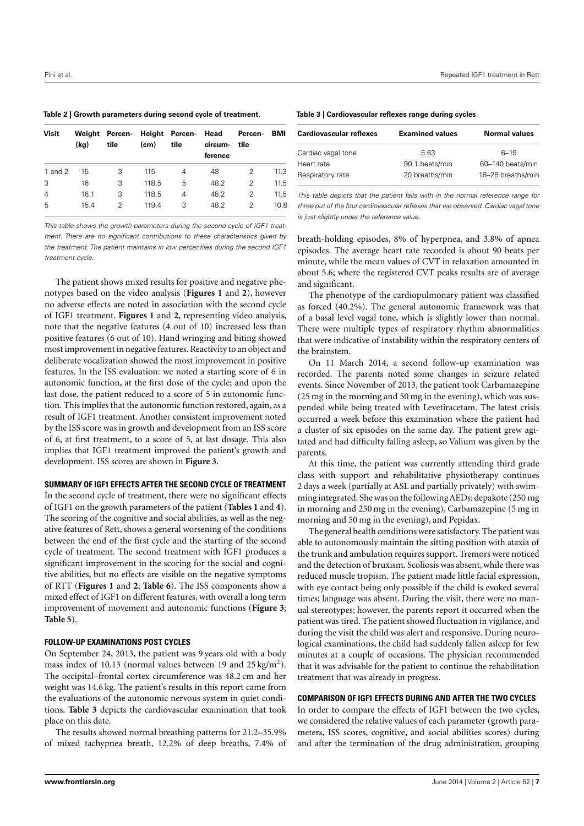<span id="page-6-0"></span>

|  |  | Table 2   Growth parameters during second cycle of treatment. |  |  |  |  |
|--|--|---------------------------------------------------------------|--|--|--|--|
|--|--|---------------------------------------------------------------|--|--|--|--|

| <b>Visit</b> | Weiaht<br>(kg) | Percen-<br>tile | (c <sub>m</sub> ) | Height Percen- Head<br>tile | circum-<br>ference | Percen-<br>tile | <b>BMI</b> |
|--------------|----------------|-----------------|-------------------|-----------------------------|--------------------|-----------------|------------|
| 1 and 2      | 15             | 3               | 115               | 4                           | 48                 | 2               | 11.3       |
| 3            | 16             | 3               | 118.5             | 5                           | 48.2               | 2               | 11.5       |
| 4            | 16.1           | 3               | 118.5             | $\overline{4}$              | 48.2               | 2               | 11.5       |
| 5            | 15.4           | 2               | 119.4             | 3                           | 48.2               | 2               | 10.8       |

This table shows the growth parameters during the second cycle of IGF1 treatment. There are no significant contributions to these characteristics given by the treatment. The patient maintains in low percentiles during the second IGF1 treatment cycle.

The patient shows mixed results for positive and negative phenotypes based on the video analysis (**[Figures 1](#page-4-0)** and **[2](#page-4-1)**), however no adverse effects are noted in association with the second cycle of IGF1 treatment. **[Figures 1](#page-4-0)** and **[2](#page-4-1)**, representing video analysis, note that the negative features (4 out of 10) increased less than positive features (6 out of 10). Hand wringing and biting showed most improvement in negative features. Reactivity to an object and deliberate vocalization showed the most improvement in positive features. In the ISS evaluation: we noted a starting score of 6 in autonomic function, at the first dose of the cycle; and upon the last dose, the patient reduced to a score of 5 in autonomic function. This implies that the autonomic function restored, again, as a result of IGF1 treatment. Another consistent improvement noted by the ISS score was in growth and development from an ISS score of 6, at first treatment, to a score of 5, at last dosage. This also implies that IGF1 treatment improved the patient's growth and development. ISS scores are shown in **[Figure 3](#page-5-1)**.

### **SUMMARY OF IGF1 EFFECTS AFTER THE SECOND CYCLE OF TREATMENT**

In the second cycle of treatment, there were no significant effects of IGF1 on the growth parameters of the patient (**[Tables 1](#page-5-0)** and **[4](#page-7-0)**). The scoring of the cognitive and social abilities, as well as the negative features of Rett, shows a general worsening of the conditions between the end of the first cycle and the starting of the second cycle of treatment. The second treatment with IGF1 produces a significant improvement in the scoring for the social and cognitive abilities, but no effects are visible on the negative symptoms of RTT (**[Figures 1](#page-4-0)** and **[2](#page-4-1)**; **[Table 6](#page-8-1)**). The ISS components show a mixed effect of IGF1 on different features, with overall a long term improvement of movement and autonomic functions (**[Figure 3](#page-5-1)**; **[Table 5](#page-8-0)**).

# **FOLLOW-UP EXAMINATIONS POST CYCLES**

On September 24, 2013, the patient was 9 years old with a body mass index of 10.13 (normal values between 19 and  $25 \text{ kg/m}^2$ ). The occipital–frontal cortex circumference was 48.2 cm and her weight was 14.6 kg. The patient's results in this report came from the evaluations of the autonomic nervous system in quiet conditions. **[Table 3](#page-6-1)** depicts the cardiovascular examination that took place on this date.

The results showed normal breathing patterns for 21.2–35.9% of mixed tachypnea breath, 12.2% of deep breaths, 7.4% of

#### <span id="page-6-1"></span>**Table 3 | Cardiovascular reflexes range during cycles**.

| <b>Cardiovascular reflexes</b> | <b>Examined values</b> | <b>Normal values</b> |  |
|--------------------------------|------------------------|----------------------|--|
| Cardiac vagal tone             | 5.63                   | $6 - 19$             |  |
| Heart rate                     | 90.1 beats/min         | 60-140 beats/min     |  |
| Respiratory rate               | 20 breaths/min         | 18-28 breaths/min    |  |

This table depicts that the patient falls with in the normal reference range for three out of the four cardiovascular reflexes that we observed. Cardiac vagal tone is just slightly under the reference value.

breath-holding episodes, 8% of hyperpnea, and 3.8% of apnea episodes. The average heart rate recorded is about 90 beats per minute, while the mean values of CVT in relaxation amounted in about 5.6; where the registered CVT peaks results are of average and significant.

The phenotype of the cardiopulmonary patient was classified as forced (40.2%). The general autonomic framework was that of a basal level vagal tone, which is slightly lower than normal. There were multiple types of respiratory rhythm abnormalities that were indicative of instability within the respiratory centers of the brainstem.

On 11 March 2014, a second follow-up examination was recorded. The parents noted some changes in seizure related events. Since November of 2013, the patient took Carbamazepine (25 mg in the morning and 50 mg in the evening), which was suspended while being treated with Levetiracetam. The latest crisis occurred a week before this examination where the patient had a cluster of six episodes on the same day. The patient grew agitated and had difficulty falling asleep, so Valium was given by the parents.

At this time, the patient was currently attending third grade class with support and rehabilitative physiotherapy continues 2 days a week (partially at ASL and partially privately) with swimming integrated. She was on the following AEDs: depakote (250 mg in morning and 250 mg in the evening), Carbamazepine (5 mg in morning and 50 mg in the evening), and Pepidax.

The general health conditions were satisfactory. The patient was able to autonomously maintain the sitting position with ataxia of the trunk and ambulation requires support. Tremors were noticed and the detection of bruxism. Scoliosis was absent, while there was reduced muscle tropism. The patient made little facial expression, with eye contact being only possible if the child is evoked several times; language was absent. During the visit, there were no manual stereotypes; however, the parents report it occurred when the patient was tired. The patient showed fluctuation in vigilance, and during the visit the child was alert and responsive. During neurological examinations, the child had suddenly fallen asleep for few minutes at a couple of occasions. The physician recommended that it was advisable for the patient to continue the rehabilitation treatment that was already in progress.

#### **COMPARISON OF IGF1 EFFECTS DURING AND AFTER THE TWO CYCLES**

In order to compare the effects of IGF1 between the two cycles, we considered the relative values of each parameter (growth parameters, ISS scores, cognitive, and social abilities scores) during and after the termination of the drug administration, grouping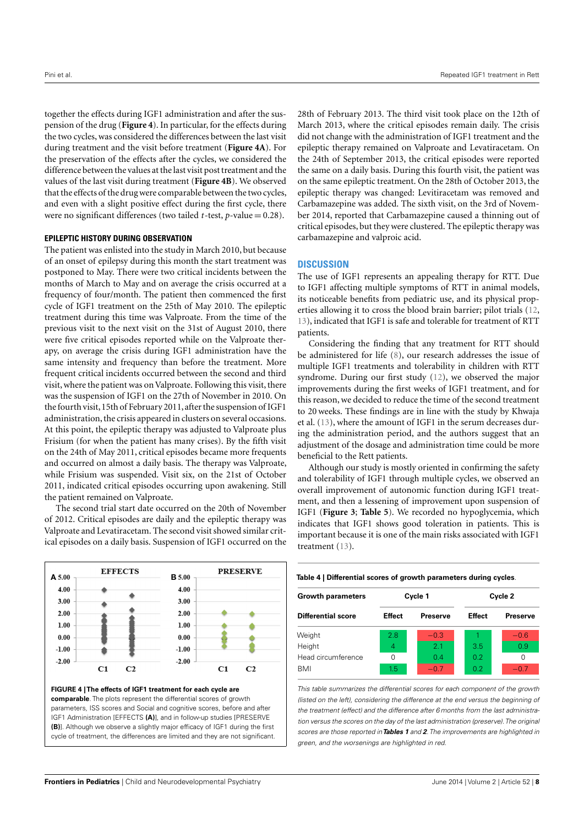together the effects during IGF1 administration and after the suspension of the drug (**[Figure 4](#page-7-1)**). In particular, for the effects during the two cycles, was considered the differences between the last visit during treatment and the visit before treatment (**[Figure 4A](#page-7-1)**). For the preservation of the effects after the cycles, we considered the difference between the values at the last visit post treatment and the values of the last visit during treatment (**[Figure 4B](#page-7-1)**). We observed that the effects of the drug were comparable between the two cycles, and even with a slight positive effect during the first cycle, there were no significant differences (two tailed  $t$ -test,  $p$ -value = 0.28).

#### **EPILEPTIC HISTORY DURING OBSERVATION**

The patient was enlisted into the study in March 2010, but because of an onset of epilepsy during this month the start treatment was postponed to May. There were two critical incidents between the months of March to May and on average the crisis occurred at a frequency of four/month. The patient then commenced the first cycle of IGF1 treatment on the 25th of May 2010. The epileptic treatment during this time was Valproate. From the time of the previous visit to the next visit on the 31st of August 2010, there were five critical episodes reported while on the Valproate therapy, on average the crisis during IGF1 administration have the same intensity and frequency than before the treatment. More frequent critical incidents occurred between the second and third visit, where the patient was on Valproate. Following this visit, there was the suspension of IGF1 on the 27th of November in 2010. On the fourth visit,15th of February 2011,after the suspension of IGF1 administration, the crisis appeared in clusters on several occasions. At this point, the epileptic therapy was adjusted to Valproate plus Frisium (for when the patient has many crises). By the fifth visit on the 24th of May 2011, critical episodes became more frequents and occurred on almost a daily basis. The therapy was Valproate, while Frisium was suspended. Visit six, on the 21st of October 2011, indicated critical episodes occurring upon awakening. Still the patient remained on Valproate.

The second trial start date occurred on the 20th of November of 2012. Critical episodes are daily and the epileptic therapy was Valproate and Levatiracetam. The second visit showed similar critical episodes on a daily basis. Suspension of IGF1 occurred on the



<span id="page-7-1"></span>**FIGURE 4 |The effects of IGF1 treatment for each cycle are comparable**. The plots represent the differential scores of growth parameters, ISS scores and Social and cognitive scores, before and after IGF1 Administration [EFFECTS **(A)**], and in follow-up studies [PRESERVE **(B)**]. Although we observe a slightly major efficacy of IGF1 during the first cycle of treatment, the differences are limited and they are not significant.

28th of February 2013. The third visit took place on the 12th of March 2013, where the critical episodes remain daily. The crisis did not change with the administration of IGF1 treatment and the epileptic therapy remained on Valproate and Levatiracetam. On the 24th of September 2013, the critical episodes were reported the same on a daily basis. During this fourth visit, the patient was on the same epileptic treatment. On the 28th of October 2013, the epileptic therapy was changed: Levitiracetam was removed and Carbamazepine was added. The sixth visit, on the 3rd of November 2014, reported that Carbamazepine caused a thinning out of critical episodes, but they were clustered. The epileptic therapy was carbamazepine and valproic acid.

#### **DISCUSSION**

The use of IGF1 represents an appealing therapy for RTT. Due to IGF1 affecting multiple symptoms of RTT in animal models, its noticeable benefits from pediatric use, and its physical properties allowing it to cross the blood brain barrier; pilot trials [\(12,](#page-9-11) [13\)](#page-9-12), indicated that IGF1 is safe and tolerable for treatment of RTT patients.

Considering the finding that any treatment for RTT should be administered for life [\(8\)](#page-9-7), our research addresses the issue of multiple IGF1 treatments and tolerability in children with RTT syndrome. During our first study [\(12\)](#page-9-11), we observed the major improvements during the first weeks of IGF1 treatment, and for this reason, we decided to reduce the time of the second treatment to 20 weeks. These findings are in line with the study by Khwaja et al. [\(13\)](#page-9-12), where the amount of IGF1 in the serum decreases during the administration period, and the authors suggest that an adjustment of the dosage and administration time could be more beneficial to the Rett patients.

Although our study is mostly oriented in confirming the safety and tolerability of IGF1 through multiple cycles, we observed an overall improvement of autonomic function during IGF1 treatment, and then a lessening of improvement upon suspension of IGF1 (**[Figure 3](#page-5-1)**; **[Table 5](#page-8-0)**). We recorded no hypoglycemia, which indicates that IGF1 shows good toleration in patients. This is important because it is one of the main risks associated with IGF1 treatment [\(13\)](#page-9-12).

<span id="page-7-0"></span>

| Table 4   Differential scores of growth parameters during cycles. |  |  |  |
|-------------------------------------------------------------------|--|--|--|
|-------------------------------------------------------------------|--|--|--|

| <b>Growth parameters</b> |               | Cycle 1         | Cycle 2       |          |  |
|--------------------------|---------------|-----------------|---------------|----------|--|
| Differential score       | <b>Effect</b> | <b>Preserve</b> | <b>Effect</b> | Preserve |  |
| Weight                   | 2.8           | $-0.3$          |               | $-0.6$   |  |
| Height                   | 4             | 21              | 3.5           | 0.9      |  |
| Head circumference       | 0             | 0.4             | 0.2           | 0        |  |
| <b>BMI</b>               | 1.5           | $-0.7$          | 0.2           | $-0.7$   |  |

This table summarizes the differential scores for each component of the growth (listed on the left), considering the difference at the end versus the beginning of the treatment (effect) and the difference after 6 months from the last administration versus the scores on the day of the last administration (preserve).The original scores are those reported in**[Tables 1](#page-5-0)** and **[2](#page-6-0)**.The improvements are highlighted in green, and the worsenings are highlighted in red.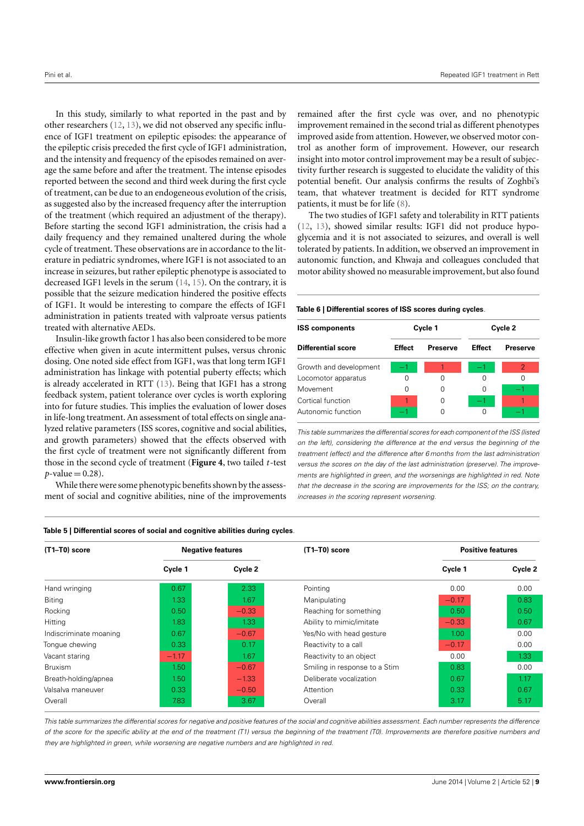In this study, similarly to what reported in the past and by other researchers [\(12,](#page-9-11) [13\)](#page-9-12), we did not observed any specific influence of IGF1 treatment on epileptic episodes: the appearance of the epileptic crisis preceded the first cycle of IGF1 administration, and the intensity and frequency of the episodes remained on average the same before and after the treatment. The intense episodes reported between the second and third week during the first cycle of treatment, can be due to an endogeneous evolution of the crisis, as suggested also by the increased frequency after the interruption of the treatment (which required an adjustment of the therapy). Before starting the second IGF1 administration, the crisis had a daily frequency and they remained unaltered during the whole cycle of treatment. These observations are in accordance to the literature in pediatric syndromes, where IGF1 is not associated to an increase in seizures, but rather epileptic phenotype is associated to decreased IGF1 levels in the serum [\(14,](#page-9-13) [15\)](#page-9-14). On the contrary, it is possible that the seizure medication hindered the positive effects of IGF1. It would be interesting to compare the effects of IGF1 administration in patients treated with valproate versus patients treated with alternative AEDs.

Insulin-like growth factor 1 has also been considered to be more effective when given in acute intermittent pulses, versus chronic dosing. One noted side effect from IGF1, was that long term IGF1 administration has linkage with potential puberty effects; which is already accelerated in RTT [\(13\)](#page-9-12). Being that IGF1 has a strong feedback system, patient tolerance over cycles is worth exploring into for future studies. This implies the evaluation of lower doses in life-long treatment. An assessment of total effects on single analyzed relative parameters (ISS scores, cognitive and social abilities, and growth parameters) showed that the effects observed with the first cycle of treatment were not significantly different from those in the second cycle of treatment (**[Figure 4](#page-7-1)**, two tailed *t*-test  $p$ -value = 0.28).

While there were some phenotypic benefits shown by the assessment of social and cognitive abilities, nine of the improvements remained after the first cycle was over, and no phenotypic improvement remained in the second trial as different phenotypes improved aside from attention. However, we observed motor control as another form of improvement. However, our research insight into motor control improvement may be a result of subjectivity further research is suggested to elucidate the validity of this potential benefit. Our analysis confirms the results of Zoghbi's team, that whatever treatment is decided for RTT syndrome patients, it must be for life [\(8\)](#page-9-7).

The two studies of IGF1 safety and tolerability in RTT patients [\(12,](#page-9-11) [13\)](#page-9-12), showed similar results: IGF1 did not produce hypoglycemia and it is not associated to seizures, and overall is well tolerated by patients. In addition, we observed an improvement in autonomic function, and Khwaja and colleagues concluded that motor ability showed no measurable improvement, but also found

#### <span id="page-8-1"></span>**Table 6 | Differential scores of ISS scores during cycles**.

| <b>ISS components</b>  |               | Cycle 1         | Cycle 2       |                 |  |
|------------------------|---------------|-----------------|---------------|-----------------|--|
| Differential score     | <b>Effect</b> | <b>Preserve</b> | <b>Effect</b> | <b>Preserve</b> |  |
| Growth and development | -- 1          |                 | - 1           | 2               |  |
| Locomotor apparatus    | 0             |                 |               |                 |  |
| Movement               |               |                 |               | —1              |  |
| Cortical function      |               | O               | ÷             |                 |  |
| Autonomic function     | -             |                 |               | -               |  |

This table summarizes the differential scores for each component of the ISS (listed on the left), considering the difference at the end versus the beginning of the treatment (effect) and the difference after 6 months from the last administration versus the scores on the day of the last administration (preserve). The improvements are highlighted in green, and the worsenings are highlighted in red. Note that the decrease in the scoring are improvements for the ISS; on the contrary, increases in the scoring represent worsening.

| (T1-T0) score          | <b>Negative features</b> |                   | $(T1-T0)$ score               | <b>Positive features</b> |         |
|------------------------|--------------------------|-------------------|-------------------------------|--------------------------|---------|
|                        | Cycle 1                  | Cycle 2           |                               | Cycle 1                  | Cycle 2 |
| Hand wringing          | 0.67                     | 2.33              | Pointing                      | 0.00                     | 0.00    |
| <b>Biting</b>          | 1.33 <sub>1</sub>        | 1.67              | Manipulating                  | $-0.17$                  | 0.83    |
| Rocking                | 0.50                     | $-0.33$           | Reaching for something        | 0.50                     | 0.50    |
| Hitting                | 1.83                     | 1.33 <sub>1</sub> | Ability to mimic/imitate      | $-0.33$                  | 0.67    |
| Indiscriminate moaning | 0.67                     | $-0.67$           | Yes/No with head gesture      | 1.00 <sub>1</sub>        | 0.00    |
| Tonque chewing         | 0.33 <sub>1</sub>        | 0.17              | Reactivity to a call          | $-0.17$                  | 0.00    |
| Vacant staring         | $-1.17$                  | 1.67              | Reactivity to an object       | 0.00                     | 1.33    |
| <b>Bruxism</b>         | 1.50 <sub>1</sub>        | $-0.67$           | Smiling in response to a Stim | 0.83                     | 0.00    |
| Breath-holding/apnea   | 1.50                     | $-1.33$           | Deliberate vocalization       | 0.67                     | 1.17    |
| Valsalva maneuver      | 0.33 <sub>1</sub>        | $-0.50$           | Attention                     | 0.33                     | 0.67    |
| Overall                | 7.83                     | 3.67              | Overall                       | 3.17                     | 5.17    |

#### <span id="page-8-0"></span>**Table 5 | Differential scores of social and cognitive abilities during cycles**.

This table summarizes the differential scores for negative and positive features of the social and cognitive abilities assessment. Each number represents the difference of the score for the specific ability at the end of the treatment (T1) versus the beginning of the treatment (T0). Improvements are therefore positive numbers and they are highlighted in green, while worsening are negative numbers and are highlighted in red.